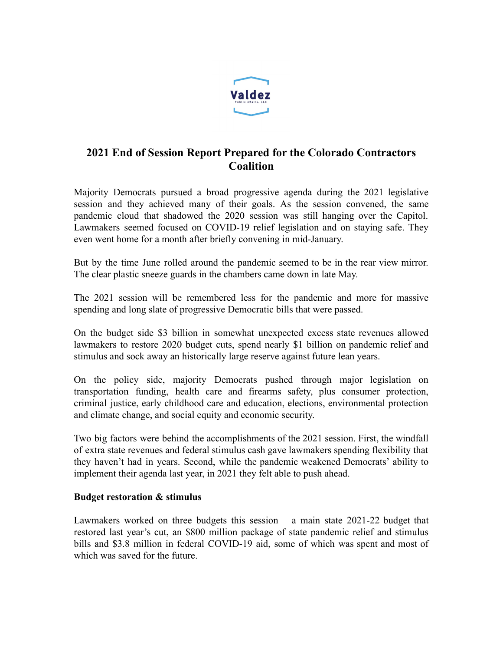

# **2021 End of Session Report Prepared for the Colorado Contractors Coalition**

Majority Democrats pursued a broad progressive agenda during the 2021 legislative session and they achieved many of their goals. As the session convened, the same pandemic cloud that shadowed the 2020 session was still hanging over the Capitol. Lawmakers seemed focused on COVID-19 relief legislation and on staying safe. They even went home for a month after briefly convening in mid-January.

But by the time June rolled around the pandemic seemed to be in the rear view mirror. The clear plastic sneeze guards in the chambers came down in late May.

The 2021 session will be remembered less for the pandemic and more for massive spending and long slate of progressive Democratic bills that were passed.

On the budget side \$3 billion in somewhat unexpected excess state revenues allowed lawmakers to restore 2020 budget cuts, spend nearly \$1 billion on pandemic relief and stimulus and sock away an historically large reserve against future lean years.

On the policy side, majority Democrats pushed through major legislation on transportation funding, health care and firearms safety, plus consumer protection, criminal justice, early childhood care and education, elections, environmental protection and climate change, and social equity and economic security.

Two big factors were behind the accomplishments of the 2021 session. First, the windfall of extra state revenues and federal stimulus cash gave lawmakers spending flexibility that they haven't had in years. Second, while the pandemic weakened Democrats' ability to implement their agenda last year, in 2021 they felt able to push ahead.

# **Budget restoration & stimulus**

Lawmakers worked on three budgets this session – a main state 2021-22 budget that restored last year's cut, an \$800 million package of state pandemic relief and stimulus bills and \$3.8 million in federal COVID-19 aid, some of which was spent and most of which was saved for the future.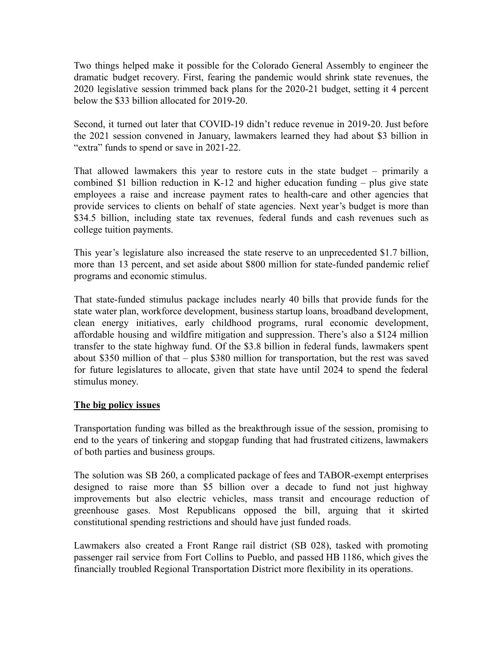Two things helped make it possible for the Colorado General Assembly to engineer the dramatic budget recovery. First, fearing the pandemic would shrink state revenues, the 2020 legislative session trimmed back plans for the 2020-21 budget, setting it 4 percent below the \$33 billion allocated for 2019-20.

Second, it turned out later that COVID-19 didn't reduce revenue in 2019-20. Just before the 2021 session convened in January, lawmakers learned they had about \$3 billion in "extra" funds to spend or save in 2021-22.

That allowed lawmakers this year to restore cuts in the state budget – primarily a combined \$1 billion reduction in K-12 and higher education funding – plus give state employees a raise and increase payment rates to health-care and other agencies that provide services to clients on behalf of state agencies. Next year's budget is more than \$34.5 billion, including state tax revenues, federal funds and cash revenues such as college tuition payments.

This year's legislature also increased the state reserve to an unprecedented \$1.7 billion, more than 13 percent, and set aside about \$800 million for state-funded pandemic relief programs and economic stimulus.

That state-funded stimulus package includes nearly 40 bills that provide funds for the state water plan, workforce development, business startup loans, broadband development, clean energy initiatives, early childhood programs, rural economic development, affordable housing and wildfire mitigation and suppression. There's also a \$124 million transfer to the state highway fund. Of the \$3.8 billion in federal funds, lawmakers spent about \$350 million of that – plus \$380 million for transportation, but the rest was saved for future legislatures to allocate, given that state have until 2024 to spend the federal stimulus money.

# **The big policy issues**

Transportation funding was billed as the breakthrough issue of the session, promising to end to the years of tinkering and stopgap funding that had frustrated citizens, lawmakers of both parties and business groups.

The solution was SB 260, a complicated package of fees and TABOR-exempt enterprises designed to raise more than \$5 billion over a decade to fund not just highway improvements but also electric vehicles, mass transit and encourage reduction of greenhouse gases. Most Republicans opposed the bill, arguing that it skirted constitutional spending restrictions and should have just funded roads.

Lawmakers also created a Front Range rail district (SB 028), tasked with promoting passenger rail service from Fort Collins to Pueblo, and passed HB 1186, which gives the financially troubled Regional Transportation District more flexibility in its operations.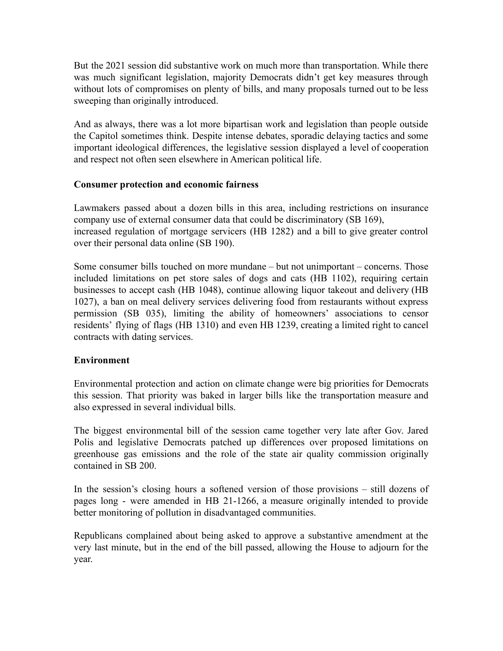But the 2021 session did substantive work on much more than transportation. While there was much significant legislation, majority Democrats didn't get key measures through without lots of compromises on plenty of bills, and many proposals turned out to be less sweeping than originally introduced.

And as always, there was a lot more bipartisan work and legislation than people outside the Capitol sometimes think. Despite intense debates, sporadic delaying tactics and some important ideological differences, the legislative session displayed a level of cooperation and respect not often seen elsewhere in American political life.

#### **Consumer protection and economic fairness**

Lawmakers passed about a dozen bills in this area, including restrictions on insurance company use of external consumer data that could be discriminatory (SB 169), increased regulation of mortgage servicers (HB 1282) and a bill to give greater control over their personal data online (SB 190).

Some consumer bills touched on more mundane – but not unimportant – concerns. Those included limitations on pet store sales of dogs and cats (HB 1102), requiring certain businesses to accept cash (HB 1048), continue allowing liquor takeout and delivery (HB 1027), a ban on meal delivery services delivering food from restaurants without express permission (SB 035), limiting the ability of homeowners' associations to censor residents' flying of flags (HB 1310) and even HB 1239, creating a limited right to cancel contracts with dating services.

# **Environment**

Environmental protection and action on climate change were big priorities for Democrats this session. That priority was baked in larger bills like the transportation measure and also expressed in several individual bills.

The biggest environmental bill of the session came together very late after Gov. Jared Polis and legislative Democrats patched up differences over proposed limitations on greenhouse gas emissions and the role of the state air quality commission originally contained in SB 200.

In the session's closing hours a softened version of those provisions – still dozens of pages long - were amended in HB 21-1266, a measure originally intended to provide better monitoring of pollution in disadvantaged communities.

Republicans complained about being asked to approve a substantive amendment at the very last minute, but in the end of the bill passed, allowing the House to adjourn for the year.